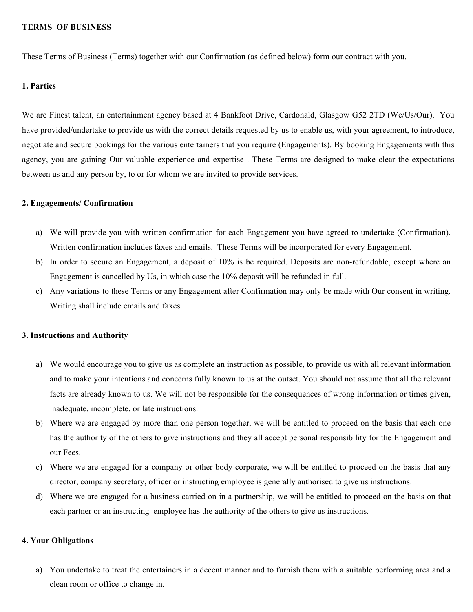#### **TERMS OF BUSINESS**

These Terms of Business (Terms) together with our Confirmation (as defined below) form our contract with you.

#### **1. Parties**

We are Finest talent, an entertainment agency based at 4 Bankfoot Drive, Cardonald, Glasgow G52 2TD (We/Us/Our). You have provided/undertake to provide us with the correct details requested by us to enable us, with your agreement, to introduce, negotiate and secure bookings for the various entertainers that you require (Engagements). By booking Engagements with this agency, you are gaining Our valuable experience and expertise . These Terms are designed to make clear the expectations between us and any person by, to or for whom we are invited to provide services.

#### **2. Engagements/ Confirmation**

- a) We will provide you with written confirmation for each Engagement you have agreed to undertake (Confirmation). Written confirmation includes faxes and emails. These Terms will be incorporated for every Engagement.
- b) In order to secure an Engagement, a deposit of 10% is be required. Deposits are non-refundable, except where an Engagement is cancelled by Us, in which case the 10% deposit will be refunded in full.
- c) Any variations to these Terms or any Engagement after Confirmation may only be made with Our consent in writing. Writing shall include emails and faxes.

## **3. Instructions and Authority**

- a) We would encourage you to give us as complete an instruction as possible, to provide us with all relevant information and to make your intentions and concerns fully known to us at the outset. You should not assume that all the relevant facts are already known to us. We will not be responsible for the consequences of wrong information or times given, inadequate, incomplete, or late instructions.
- b) Where we are engaged by more than one person together, we will be entitled to proceed on the basis that each one has the authority of the others to give instructions and they all accept personal responsibility for the Engagement and our Fees.
- c) Where we are engaged for a company or other body corporate, we will be entitled to proceed on the basis that any director, company secretary, officer or instructing employee is generally authorised to give us instructions.
- d) Where we are engaged for a business carried on in a partnership, we will be entitled to proceed on the basis on that each partner or an instructing employee has the authority of the others to give us instructions.

## **4. Your Obligations**

a) You undertake to treat the entertainers in a decent manner and to furnish them with a suitable performing area and a clean room or office to change in.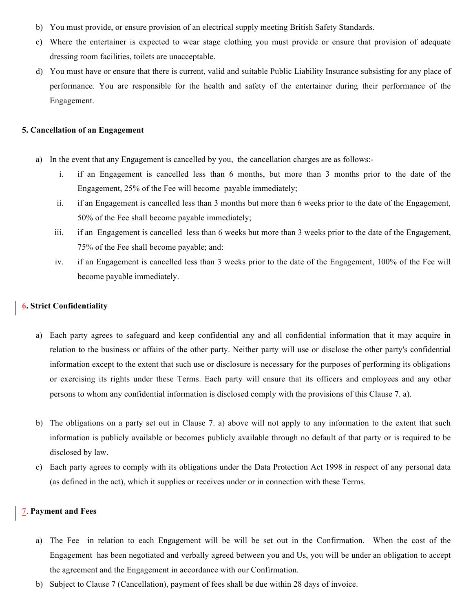- b) You must provide, or ensure provision of an electrical supply meeting British Safety Standards.
- c) Where the entertainer is expected to wear stage clothing you must provide or ensure that provision of adequate dressing room facilities, toilets are unacceptable.
- d) You must have or ensure that there is current, valid and suitable Public Liability Insurance subsisting for any place of performance. You are responsible for the health and safety of the entertainer during their performance of the Engagement.

#### **5. Cancellation of an Engagement**

- a) In the event that any Engagement is cancelled by you, the cancellation charges are as follows:
	- i. if an Engagement is cancelled less than 6 months, but more than 3 months prior to the date of the Engagement, 25% of the Fee will become payable immediately;
	- ii. if an Engagement is cancelled less than 3 months but more than 6 weeks prior to the date of the Engagement, 50% of the Fee shall become payable immediately;
	- iii. if an Engagement is cancelled less than 6 weeks but more than 3 weeks prior to the date of the Engagement, 75% of the Fee shall become payable; and:
	- iv. if an Engagement is cancelled less than 3 weeks prior to the date of the Engagement, 100% of the Fee will become payable immediately.

# **6. Strict Confidentiality**

- a) Each party agrees to safeguard and keep confidential any and all confidential information that it may acquire in relation to the business or affairs of the other party. Neither party will use or disclose the other party's confidential information except to the extent that such use or disclosure is necessary for the purposes of performing its obligations or exercising its rights under these Terms. Each party will ensure that its officers and employees and any other persons to whom any confidential information is disclosed comply with the provisions of this Clause 7. a).
- b) The obligations on a party set out in Clause 7. a) above will not apply to any information to the extent that such information is publicly available or becomes publicly available through no default of that party or is required to be disclosed by law.
- c) Each party agrees to comply with its obligations under the Data Protection Act 1998 in respect of any personal data (as defined in the act), which it supplies or receives under or in connection with these Terms.

## **7**. **Payment and Fees**

- a) The Fee in relation to each Engagement will be will be set out in the Confirmation. When the cost of the Engagement has been negotiated and verbally agreed between you and Us, you will be under an obligation to accept the agreement and the Engagement in accordance with our Confirmation.
- b) Subject to Clause 7 (Cancellation), payment of fees shall be due within 28 days of invoice.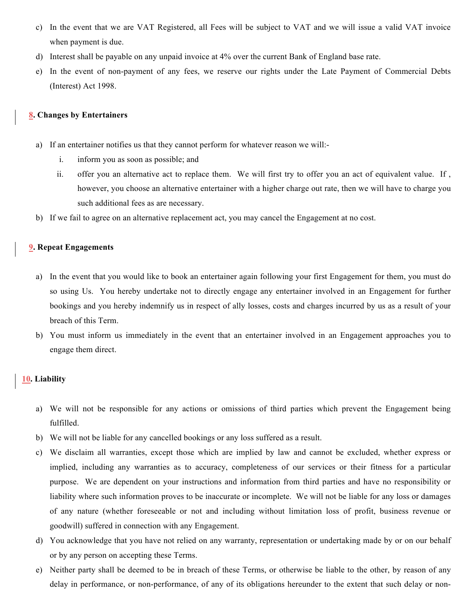- c) In the event that we are VAT Registered, all Fees will be subject to VAT and we will issue a valid VAT invoice when payment is due.
- d) Interest shall be payable on any unpaid invoice at 4% over the current Bank of England base rate.
- e) In the event of non-payment of any fees, we reserve our rights under the Late Payment of Commercial Debts (Interest) Act 1998.

## **8. Changes by Entertainers**

- a) If an entertainer notifies us that they cannot perform for whatever reason we will:
	- i. inform you as soon as possible; and
	- ii. offer you an alternative act to replace them. We will first try to offer you an act of equivalent value. If , however, you choose an alternative entertainer with a higher charge out rate, then we will have to charge you such additional fees as are necessary.
- b) If we fail to agree on an alternative replacement act, you may cancel the Engagement at no cost.

# **9. Repeat Engagements**

- a) In the event that you would like to book an entertainer again following your first Engagement for them, you must do so using Us. You hereby undertake not to directly engage any entertainer involved in an Engagement for further bookings and you hereby indemnify us in respect of ally losses, costs and charges incurred by us as a result of your breach of this Term.
- b) You must inform us immediately in the event that an entertainer involved in an Engagement approaches you to engage them direct.

## **10. Liability**

- a) We will not be responsible for any actions or omissions of third parties which prevent the Engagement being fulfilled.
- b) We will not be liable for any cancelled bookings or any loss suffered as a result.
- c) We disclaim all warranties, except those which are implied by law and cannot be excluded, whether express or implied, including any warranties as to accuracy, completeness of our services or their fitness for a particular purpose. We are dependent on your instructions and information from third parties and have no responsibility or liability where such information proves to be inaccurate or incomplete. We will not be liable for any loss or damages of any nature (whether foreseeable or not and including without limitation loss of profit, business revenue or goodwill) suffered in connection with any Engagement.
- d) You acknowledge that you have not relied on any warranty, representation or undertaking made by or on our behalf or by any person on accepting these Terms.
- e) Neither party shall be deemed to be in breach of these Terms, or otherwise be liable to the other, by reason of any delay in performance, or non-performance, of any of its obligations hereunder to the extent that such delay or non-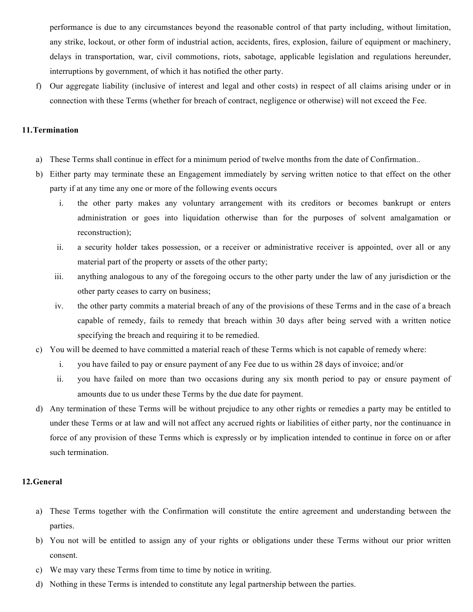performance is due to any circumstances beyond the reasonable control of that party including, without limitation, any strike, lockout, or other form of industrial action, accidents, fires, explosion, failure of equipment or machinery, delays in transportation, war, civil commotions, riots, sabotage, applicable legislation and regulations hereunder, interruptions by government, of which it has notified the other party.

f) Our aggregate liability (inclusive of interest and legal and other costs) in respect of all claims arising under or in connection with these Terms (whether for breach of contract, negligence or otherwise) will not exceed the Fee.

## **11.Termination**

- a) These Terms shall continue in effect for a minimum period of twelve months from the date of Confirmation..
- b) Either party may terminate these an Engagement immediately by serving written notice to that effect on the other party if at any time any one or more of the following events occurs
	- i. the other party makes any voluntary arrangement with its creditors or becomes bankrupt or enters administration or goes into liquidation otherwise than for the purposes of solvent amalgamation or reconstruction);
	- ii. a security holder takes possession, or a receiver or administrative receiver is appointed, over all or any material part of the property or assets of the other party;
	- iii. anything analogous to any of the foregoing occurs to the other party under the law of any jurisdiction or the other party ceases to carry on business;
	- iv. the other party commits a material breach of any of the provisions of these Terms and in the case of a breach capable of remedy, fails to remedy that breach within 30 days after being served with a written notice specifying the breach and requiring it to be remedied.
- c) You will be deemed to have committed a material reach of these Terms which is not capable of remedy where:
	- i. you have failed to pay or ensure payment of any Fee due to us within 28 days of invoice; and/or
	- ii. you have failed on more than two occasions during any six month period to pay or ensure payment of amounts due to us under these Terms by the due date for payment.
- d) Any termination of these Terms will be without prejudice to any other rights or remedies a party may be entitled to under these Terms or at law and will not affect any accrued rights or liabilities of either party, nor the continuance in force of any provision of these Terms which is expressly or by implication intended to continue in force on or after such termination.

## **12.General**

- a) These Terms together with the Confirmation will constitute the entire agreement and understanding between the parties.
- b) You not will be entitled to assign any of your rights or obligations under these Terms without our prior written consent.
- c) We may vary these Terms from time to time by notice in writing.
- d) Nothing in these Terms is intended to constitute any legal partnership between the parties.